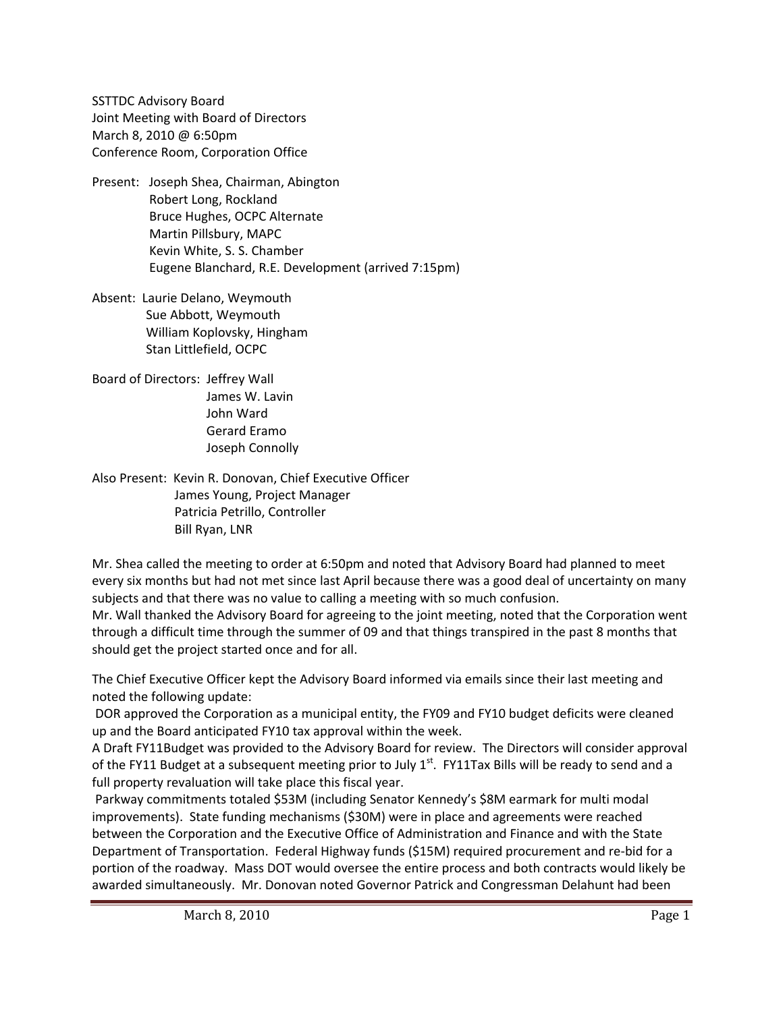SSTTDC Advisory Board Joint Meeting with Board of Directors March 8, 2010 @ 6:50pm Conference Room, Corporation Office

- Present: Joseph Shea, Chairman, Abington Robert Long, Rockland Bruce Hughes, OCPC Alternate Martin Pillsbury, MAPC Kevin White, S. S. Chamber Eugene Blanchard, R.E. Development (arrived 7:15pm)
- Absent: Laurie Delano, Weymouth Sue Abbott, Weymouth William Koplovsky, Hingham Stan Littlefield, OCPC
- Board of Directors: Jeffrey Wall James W. Lavin John Ward Gerard Eramo Joseph Connolly
- Also Present: Kevin R. Donovan, Chief Executive Officer James Young, Project Manager Patricia Petrillo, Controller Bill Ryan, LNR

Mr. Shea called the meeting to order at 6:50pm and noted that Advisory Board had planned to meet every six months but had not met since last April because there was a good deal of uncertainty on many subjects and that there was no value to calling a meeting with so much confusion.

Mr. Wall thanked the Advisory Board for agreeing to the joint meeting, noted that the Corporation went through a difficult time through the summer of 09 and that things transpired in the past 8 months that should get the project started once and for all.

The Chief Executive Officer kept the Advisory Board informed via emails since their last meeting and noted the following update:

DOR approved the Corporation as a municipal entity, the FY09 and FY10 budget deficits were cleaned up and the Board anticipated FY10 tax approval within the week.

A Draft FY11Budget was provided to the Advisory Board for review. The Directors will consider approval of the FY11 Budget at a subsequent meeting prior to July 1<sup>st</sup>. FY11Tax Bills will be ready to send and a full property revaluation will take place this fiscal year.

Parkway commitments totaled \$53M (including Senator Kennedy's \$8M earmark for multi modal improvements). State funding mechanisms (\$30M) were in place and agreements were reached between the Corporation and the Executive Office of Administration and Finance and with the State Department of Transportation. Federal Highway funds (\$15M) required procurement and re‐bid for a portion of the roadway. Mass DOT would oversee the entire process and both contracts would likely be awarded simultaneously. Mr. Donovan noted Governor Patrick and Congressman Delahunt had been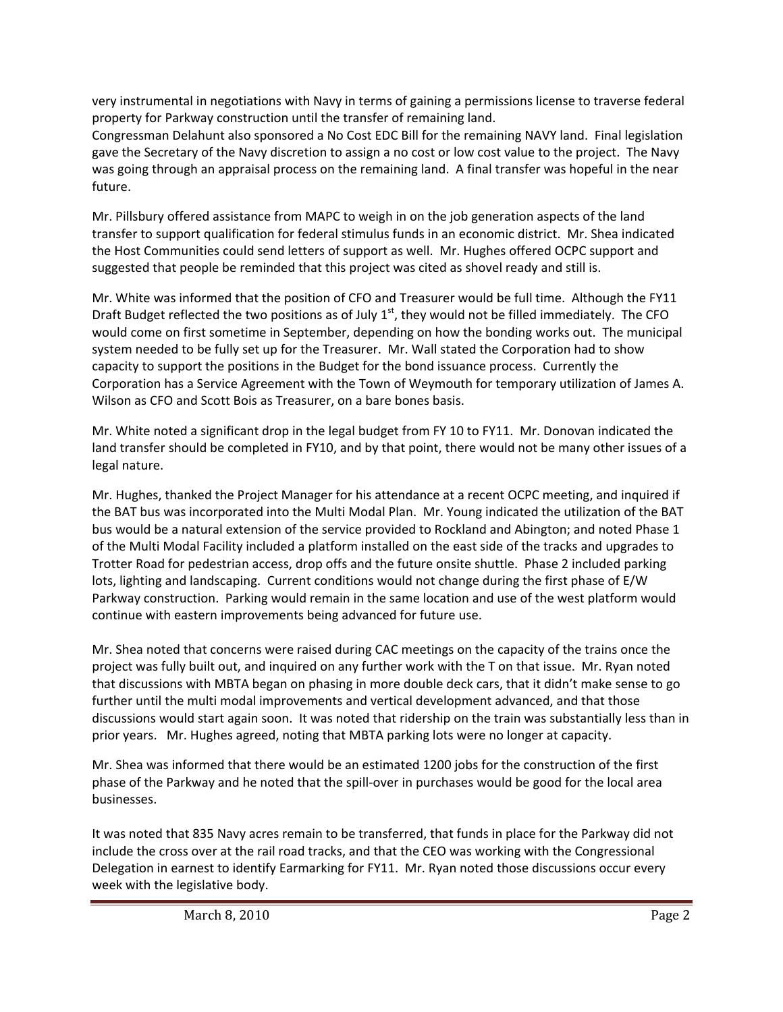very instrumental in negotiations with Navy in terms of gaining a permissions license to traverse federal property for Parkway construction until the transfer of remaining land.

Congressman Delahunt also sponsored a No Cost EDC Bill for the remaining NAVY land. Final legislation gave the Secretary of the Navy discretion to assign a no cost or low cost value to the project. The Navy was going through an appraisal process on the remaining land. A final transfer was hopeful in the near future.

Mr. Pillsbury offered assistance from MAPC to weigh in on the job generation aspects of the land transfer to support qualification for federal stimulus funds in an economic district. Mr. Shea indicated the Host Communities could send letters of support as well. Mr. Hughes offered OCPC support and suggested that people be reminded that this project was cited as shovel ready and still is.

Mr. White was informed that the position of CFO and Treasurer would be full time. Although the FY11 Draft Budget reflected the two positions as of July  $1<sup>st</sup>$ , they would not be filled immediately. The CFO would come on first sometime in September, depending on how the bonding works out. The municipal system needed to be fully set up for the Treasurer. Mr. Wall stated the Corporation had to show capacity to support the positions in the Budget for the bond issuance process. Currently the Corporation has a Service Agreement with the Town of Weymouth for temporary utilization of James A. Wilson as CFO and Scott Bois as Treasurer, on a bare bones basis.

Mr. White noted a significant drop in the legal budget from FY 10 to FY11. Mr. Donovan indicated the land transfer should be completed in FY10, and by that point, there would not be many other issues of a legal nature.

Mr. Hughes, thanked the Project Manager for his attendance at a recent OCPC meeting, and inquired if the BAT bus was incorporated into the Multi Modal Plan. Mr. Young indicated the utilization of the BAT bus would be a natural extension of the service provided to Rockland and Abington; and noted Phase 1 of the Multi Modal Facility included a platform installed on the east side of the tracks and upgrades to Trotter Road for pedestrian access, drop offs and the future onsite shuttle. Phase 2 included parking lots, lighting and landscaping. Current conditions would not change during the first phase of E/W Parkway construction. Parking would remain in the same location and use of the west platform would continue with eastern improvements being advanced for future use.

Mr. Shea noted that concerns were raised during CAC meetings on the capacity of the trains once the project was fully built out, and inquired on any further work with the T on that issue. Mr. Ryan noted that discussions with MBTA began on phasing in more double deck cars, that it didn't make sense to go further until the multi modal improvements and vertical development advanced, and that those discussions would start again soon. It was noted that ridership on the train was substantially less than in prior years. Mr. Hughes agreed, noting that MBTA parking lots were no longer at capacity.

Mr. Shea was informed that there would be an estimated 1200 jobs for the construction of the first phase of the Parkway and he noted that the spill‐over in purchases would be good for the local area businesses.

It was noted that 835 Navy acres remain to be transferred, that funds in place for the Parkway did not include the cross over at the rail road tracks, and that the CEO was working with the Congressional Delegation in earnest to identify Earmarking for FY11. Mr. Ryan noted those discussions occur every week with the legislative body.